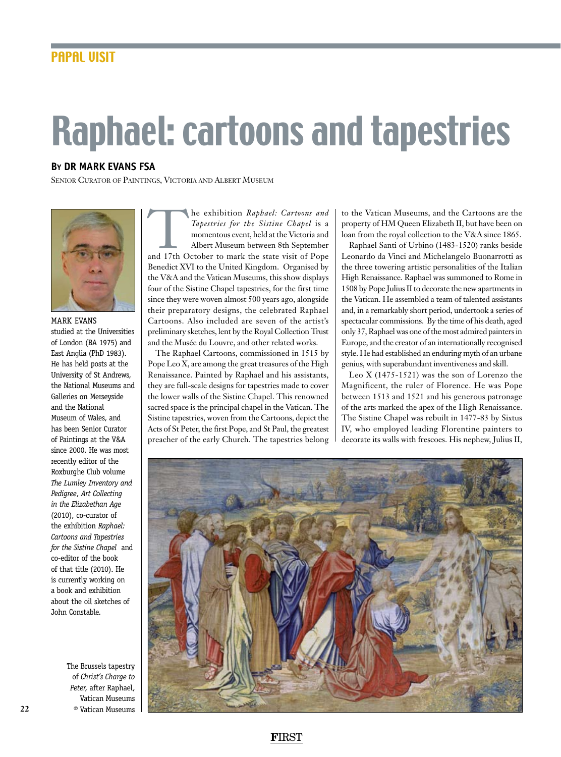## Raphael: cartoons and tapestries

## **By dr mark evans FSA**

Senior Curator of Paintings, Victoria and Albert Museum



mark evans studied at the Universities of London (BA 1975) and East Anglia (PhD 1983). He has held posts at the University of St Andrews, the National Museums and Galleries on Merseyside and the National Museum of Wales, and has been Senior Curator of Paintings at the V&A since 2000. He was most recently editor of the Roxburghe Club volume *The Lumley Inventory and Pedigree*, *Art Collecting in the Elizabethan Age* (2010), co-curator of the exhibition *Raphael: Cartoons and Tapestries for the Sistine Chapel* and co-editor of the book of that title (2010). He is currently working on a book and exhibition about the oil sketches of John Constable.

> The Brussels tapestry of *Christ's Charge to Peter,* after Raphael, Vatican Museums © Vatican Museums

The exhibition *Raphael: Cartoons and*<br> *Tapestries for the Sistine Chapel* is a<br>
momentous event, held at the Victoria and<br>
Albert Museum between 8th September<br>
and 17th October to mark the state visit of Pope *Tapestries for the Sistine Chapel* is a momentous event, held at the Victoria and Albert Museum between 8th September Benedict XVI to the United Kingdom. Organised by the V&A and the Vatican Museums, this show displays four of the Sistine Chapel tapestries, for the first time since they were woven almost 500 years ago, alongside their preparatory designs, the celebrated Raphael Cartoons. Also included are seven of the artist's preliminary sketches, lent by the Royal Collection Trust and the Musée du Louvre, and other related works.

The Raphael Cartoons, commissioned in 1515 by Pope Leo X, are among the great treasures of the High Renaissance. Painted by Raphael and his assistants, they are full-scale designs for tapestries made to cover the lower walls of the Sistine Chapel. This renowned sacred space is the principal chapel in the Vatican. The Sistine tapestries, woven from the Cartoons, depict the Acts of St Peter, the first Pope, and St Paul, the greatest preacher of the early Church. The tapestries belong

to the Vatican Museums, and the Cartoons are the property of HM Queen Elizabeth II, but have been on loan from the royal collection to the V&A since 1865.

Raphael Santi of Urbino (1483-1520) ranks beside Leonardo da Vinci and Michelangelo Buonarrotti as the three towering artistic personalities of the Italian High Renaissance. Raphael was summoned to Rome in 1508 by Pope Julius II to decorate the new apartments in the Vatican. He assembled a team of talented assistants and, in a remarkably short period, undertook a series of spectacular commissions. By the time of his death, aged only 37, Raphael was one of the most admired painters in Europe, and the creator of an internationally recognised style. He had established an enduring myth of an urbane genius, with superabundant inventiveness and skill.

Leo X (1475-1521) was the son of Lorenzo the Magnificent, the ruler of Florence. He was Pope between 1513 and 1521 and his generous patronage of the arts marked the apex of the High Renaissance. The Sistine Chapel was rebuilt in 1477-83 by Sixtus IV, who employed leading Florentine painters to decorate its walls with frescoes. His nephew, Julius II,



**F**IRST